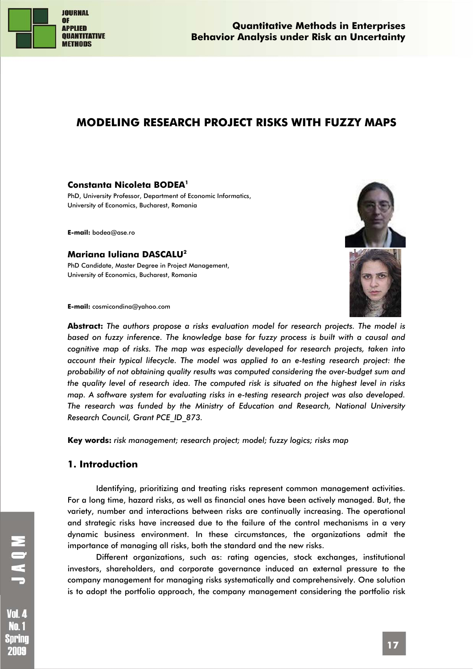

**Quantitative Methods in Enterprises Behavior Analysis under Risk an Uncertainty** 

# **MODELING RESEARCH PROJECT RISKS WITH FUZZY MAPS**

#### **Constanta Nicoleta BODEA1**

PhD, University Professor, Department of Economic Informatics, University of Economics, Bucharest, Romania

**E-mail:** bodea@ase.ro

#### **Mariana Iuliana DASCALU2**

PhD Candidate, Master Degree in Project Management, University of Economics, Bucharest, Romania



**E-mail:** cosmicondina@yahoo.com

**Abstract:** *The authors propose a risks evaluation model for research projects. The model is based on fuzzy inference. The knowledge base for fuzzy process is built with a causal and cognitive map of risks. The map was especially developed for research projects, taken into account their typical lifecycle. The model was applied to an e-testing research project: the probability of not obtaining quality results was computed considering the over-budget sum and the quality level of research idea. The computed risk is situated on the highest level in risks map. A software system for evaluating risks in e-testing research project was also developed. The research was funded by the Ministry of Education and Research, National University Research Council, Grant PCE\_ID\_873.* 

**Key words:** *risk management; research project; model; fuzzy logics; risks map*

### **1. Introduction**

Identifying, prioritizing and treating risks represent common management activities. For a long time, hazard risks, as well as financial ones have been actively managed. But, the variety, number and interactions between risks are continually increasing. The operational and strategic risks have increased due to the failure of the control mechanisms in a very dynamic business environment. In these circumstances, the organizations admit the importance of managing all risks, both the standard and the new risks.

Different organizations, such as: rating agencies, stock exchanges, institutional investors, shareholders, and corporate governance induced an external pressure to the company management for managing risks systematically and comprehensively. One solution is to adopt the portfolio approach, the company management considering the portfolio risk

Vol. 4 Nn. 1 Spring 2009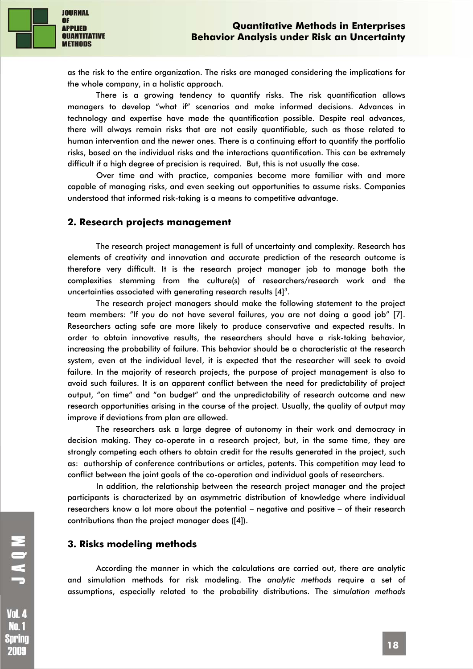

as the risk to the entire organization. The risks are managed considering the implications for the whole company, in a holistic approach.

There is a growing tendency to quantify risks. The risk quantification allows managers to develop "what if" scenarios and make informed decisions. Advances in technology and expertise have made the quantification possible. Despite real advances, there will always remain risks that are not easily quantifiable, such as those related to human intervention and the newer ones. There is a continuing effort to quantify the portfolio risks, based on the individual risks and the interactions quantification. This can be extremely difficult if a high degree of precision is required. But, this is not usually the case.

Over time and with practice, companies become more familiar with and more capable of managing risks, and even seeking out opportunities to assume risks. Companies understood that informed risk-taking is a means to competitive advantage.

## **2. Research projects management**

The research project management is full of uncertainty and complexity. Research has elements of creativity and innovation and accurate prediction of the research outcome is therefore very difficult. It is the research project manager job to manage both the complexities stemming from the culture(s) of researchers/research work and the uncertainties associated with generating research results  $[4]^3$ .

The research project managers should make the following statement to the project team members: "If you do not have several failures, you are not doing a good job" [7]. Researchers acting safe are more likely to produce conservative and expected results. In order to obtain innovative results, the researchers should have a risk-taking behavior, increasing the probability of failure. This behavior should be a characteristic at the research system, even at the individual level, it is expected that the researcher will seek to avoid failure. In the majority of research projects, the purpose of project management is also to avoid such failures. It is an apparent conflict between the need for predictability of project output, "on time" and "on budget" and the unpredictability of research outcome and new research opportunities arising in the course of the project. Usually, the quality of output may improve if deviations from plan are allowed.

The researchers ask a large degree of autonomy in their work and democracy in decision making. They co-operate in a research project, but, in the same time, they are strongly competing each others to obtain credit for the results generated in the project, such as: authorship of conference contributions or articles, patents. This competition may lead to conflict between the joint goals of the co-operation and individual goals of researchers.

In addition, the relationship between the research project manager and the project participants is characterized by an asymmetric distribution of knowledge where individual researchers know a lot more about the potential – negative and positive – of their research contributions than the project manager does ([4]).

## **3. Risks modeling methods**

According the manner in which the calculations are carried out, there are analytic and simulation methods for risk modeling. The *analytic methods* require a set of assumptions, especially related to the probability distributions. The s*imulation methods* 

**Vol. 4 No.1** Spring 2009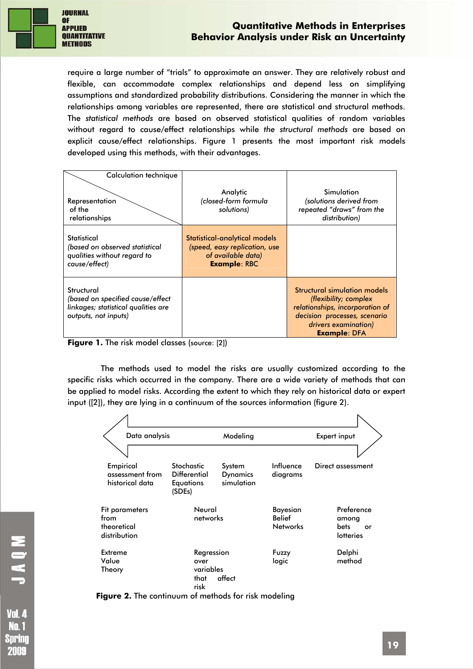

require a large number of "trials" to approximate an answer. They are relatively robust and flexible, can accommodate complex relationships and depend less on simplifying assumptions and standardized probability distributions. Considering the manner in which the relationships among variables are represented, there are statistical and structural methods. The *statistical methods* are based on observed statistical qualities of random variables without regard to cause/effect relationships while *the structural methods* are based on explicit cause/effect relationships. Figure 1 presents the most important risk models developed using this methods, with their advantages.

| Calculation technique<br>Representation<br>of the<br>relationships                                            | Analytic<br>(closed-form formula<br>solutions)                                                              | Simulation<br>(solutions derived from<br>repeated "draws" from the<br>distribution)                                                                                     |
|---------------------------------------------------------------------------------------------------------------|-------------------------------------------------------------------------------------------------------------|-------------------------------------------------------------------------------------------------------------------------------------------------------------------------|
| Statistical<br>(based on observed statistical<br>qualities without regard to<br>cause/effect)                 | Statistical-analytical models<br>(speed, easy replication, use<br>of available data)<br><b>Example: RBC</b> |                                                                                                                                                                         |
| Structural<br>(based on specified cause/effect<br>linkages; statistical qualities are<br>outputs, not inputs) |                                                                                                             | Structural simulation models<br>(flexibility; complex<br>relationships, incorporation of<br>decision processes, scenario<br>drivers examination)<br><b>Example: DFA</b> |

**Figure 1.** The risk model classes (source: [2])

The methods used to model the risks are usually customized according to the specific risks which occurred in the company. There are a wide variety of methods that can be applied to model risks. According the extent to which they rely on historical data or expert input ([2]), they are lying in a continuum of the sources information (figure 2).

| Data analysis                                         |                                                                 | Modeling                                |                                                     | Expert input                                          |
|-------------------------------------------------------|-----------------------------------------------------------------|-----------------------------------------|-----------------------------------------------------|-------------------------------------------------------|
|                                                       |                                                                 |                                         |                                                     |                                                       |
| Empirical<br>assessment from<br>historical data       | <b>Stochastic</b><br><b>Differential</b><br>Equations<br>(SDEs) | System<br><b>Dynamics</b><br>simulation | Influence<br>diagrams                               | Direct assessment                                     |
| Fit parameters<br>from<br>theoretical<br>distribution | Neural<br>networks                                              |                                         | <b>Bayesian</b><br><b>Belief</b><br><b>Networks</b> | Preference<br>among<br><b>bets</b><br>or<br>lotteries |
| Extreme<br>Value<br>Theory                            | Regression<br>over<br>variables<br>that<br>risk                 | affect                                  | Fuzzy<br>logic                                      | Delphi<br>method                                      |

**Figure 2.** The continuum of methods for risk modeling

Sprinc 2009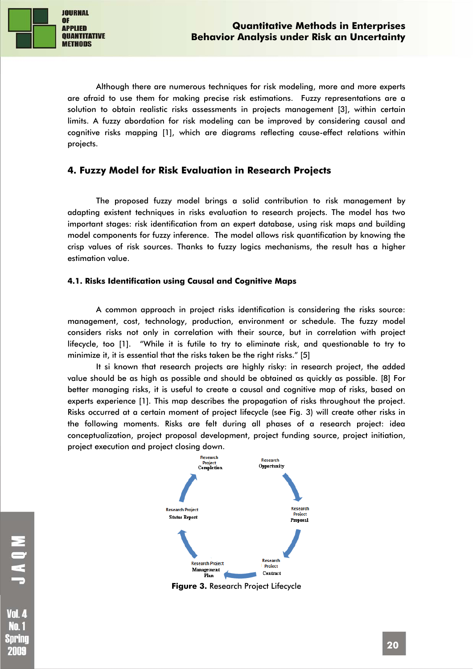

Although there are numerous techniques for risk modeling, more and more experts are afraid to use them for making precise risk estimations. Fuzzy representations are a solution to obtain realistic risks assessments in projects management [3], within certain limits. A fuzzy abordation for risk modeling can be improved by considering causal and cognitive risks mapping [1], which are diagrams reflecting cause-effect relations within projects.

## **4. Fuzzy Model for Risk Evaluation in Research Projects**

The proposed fuzzy model brings a solid contribution to risk management by adapting existent techniques in risks evaluation to research projects. The model has two important stages: risk identification from an expert database, using risk maps and building model components for fuzzy inference. The model allows risk quantification by knowing the crisp values of risk sources. Thanks to fuzzy logics mechanisms, the result has a higher estimation value.

#### **4.1. Risks Identification using Causal and Cognitive Maps**

A common approach in project risks identification is considering the risks source: management, cost, technology, production, environment or schedule. The fuzzy model considers risks not only in correlation with their source, but in correlation with project lifecycle, too [1]. "While it is futile to try to eliminate risk, and questionable to try to minimize it, it is essential that the risks taken be the right risks." [5]

It si known that research projects are highly risky: in research project, the added value should be as high as possible and should be obtained as quickly as possible. [8] For better managing risks, it is useful to create a causal and cognitive map of risks, based on experts experience [1]. This map describes the propagation of risks throughout the project. Risks occurred at a certain moment of project lifecycle (see Fig. 3) will create other risks in the following moments. Risks are felt during all phases of a research project: idea conceptualization, project proposal development, project funding source, project initiation, project execution and project closing down.



**Figure 3.** Research Project Lifecycle

Nn. 1 Spring 2009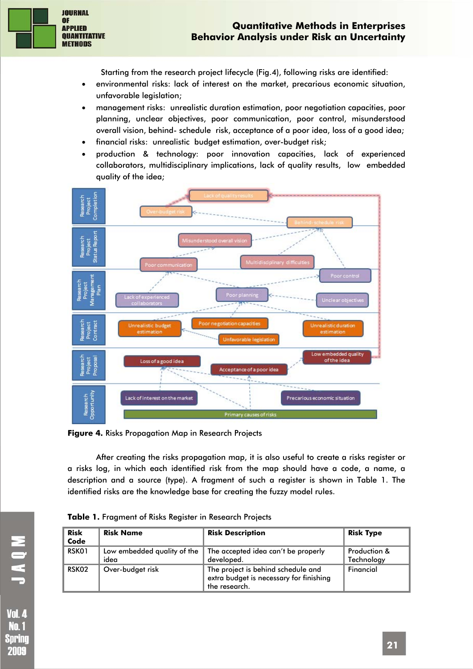

Starting from the research project lifecycle (Fig.4), following risks are identified:

- environmental risks: lack of interest on the market, precarious economic situation, unfavorable legislation;
- management risks: unrealistic duration estimation, poor negotiation capacities, poor planning, unclear objectives, poor communication, poor control, misunderstood overall vision, behind- schedule risk, acceptance of a poor idea, loss of a good idea;
- financial risks: unrealistic budget estimation, over-budget risk;
- production & technology: poor innovation capacities, lack of experienced collaborators, multidisciplinary implications, lack of quality results, low embedded quality of the idea;



**Figure 4.** Risks Propagation Map in Research Projects

After creating the risks propagation map, it is also useful to create a risks register or a risks log, in which each identified risk from the map should have a code, a name, a description and a source (type). A fragment of such a register is shown in Table 1. The identified risks are the knowledge base for creating the fuzzy model rules.

| <b>Risk</b><br>Code | <b>Risk Name</b>                    | <b>Risk Description</b>                                                                        | <b>Risk Type</b>           |
|---------------------|-------------------------------------|------------------------------------------------------------------------------------------------|----------------------------|
| RSK01               | Low embedded quality of the<br>idea | The accepted idea can't be properly<br>developed.                                              | Production &<br>Technology |
| RSK02               | Over-budget risk                    | The project is behind schedule and<br>extra budget is necessary for finishing<br>the research. | Financial                  |

|  | Table 1. Fragment of Risks Register in Research Projects |  |  |  |  |
|--|----------------------------------------------------------|--|--|--|--|
|  |                                                          |  |  |  |  |

**NONL**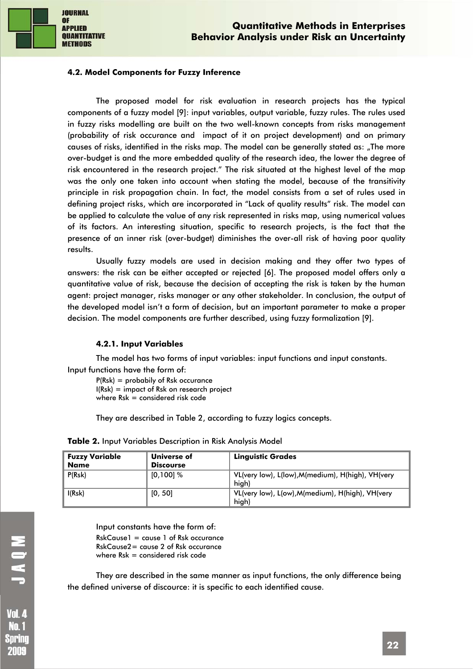

#### **4.2. Model Components for Fuzzy Inference**

The proposed model for risk evaluation in research projects has the typical components of a fuzzy model [9]: input variables, output variable, fuzzy rules. The rules used in fuzzy risks modelling are built on the two well-known concepts from risks management (probability of risk occurance and impact of it on project development) and on primary causes of risks, identified in the risks map. The model can be generally stated as: "The more over-budget is and the more embedded quality of the research idea, the lower the degree of risk encountered in the research project." The risk situated at the highest level of the map was the only one taken into account when stating the model, because of the transitivity principle in risk propagation chain. In fact, the model consists from a set of rules used in defining project risks, which are incorporated in "Lack of quality results" risk. The model can be applied to calculate the value of any risk represented in risks map, using numerical values of its factors. An interesting situation, specific to research projects, is the fact that the presence of an inner risk (over-budget) diminishes the over-all risk of having poor quality results.

Usually fuzzy models are used in decision making and they offer two types of answers: the risk can be either accepted or rejected [6]. The proposed model offers only a quantitative value of risk, because the decision of accepting the risk is taken by the human agent: project manager, risks manager or any other stakeholder. In conclusion, the output of the developed model isn't a form of decision, but an important parameter to make a proper decision. The model components are further described, using fuzzy formalization [9].

#### **4.2.1. Input Variables**

The model has two forms of input variables: input functions and input constants. Input functions have the form of:

P(Rsk) = probabily of Rsk occurance  $I(Rsk) = impact of Rsk on research project$ where  $Rsk =$  considered risk code

They are described in Table 2, according to fuzzy logics concepts.

| <b>Fuzzy Variable</b><br><b>Name</b> | Universe of<br><b>Discourse</b> | <b>Linguistic Grades</b>                                   |
|--------------------------------------|---------------------------------|------------------------------------------------------------|
| P(Rsk)                               | [0,100] %                       | VL(very low), L(low), M(medium), H(high), VH(very<br>hiah) |
| I(Rsk)                               | [0, 50]                         | VL(very low), L(ow), M(medium), H(high), VH(very<br>high)  |

**Table 2.** Input Variables Description in Risk Analysis Model

Input constants have the form of:  $RskCause1 = cause1 of Rsk occurrence$ RskCause2= cause 2 of Rsk occurance where  $Rsk =$  considered risk code

They are described in the same manner as input functions, the only difference being the defined universe of discource: it is specific to each identified cause.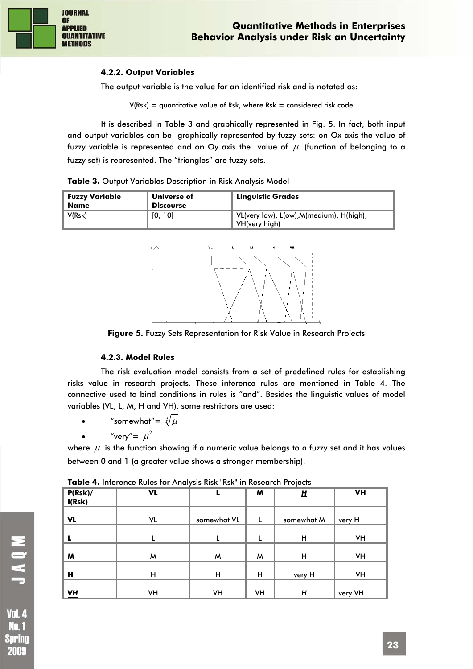## **4.2.2. Output Variables**

The output variable is the value for an identified risk and is notated as:

 $V(Rsk) =$  quantitative value of Rsk, where Rsk = considered risk code

It is described in Table 3 and graphically represented in Fig. 5. In fact, both input and output variables can be graphically represented by fuzzy sets: on Ox axis the value of fuzzy variable is represented and on Oy axis the value of  $\mu$  (function of belonging to a fuzzy set) is represented. The "triangles" are fuzzy sets.

| Fuzzy Variable<br>Name | Universe of<br><b>Discourse</b> | <b>Linguistic Grades</b>                                 |
|------------------------|---------------------------------|----------------------------------------------------------|
| V(Rsk)                 | [0, 10]                         | VL(very low), L(ow),M(medium), H(high),<br>VH(verv high) |





**Figure 5.** Fuzzy Sets Representation for Risk Value in Research Projects

## **4.2.3. Model Rules**

The risk evaluation model consists from a set of predefined rules for establishing risks value in research projects. These inference rules are mentioned in Table 4. The connective used to bind conditions in rules is "and". Besides the linguistic values of model variables (VL, L, M, H and VH), some restrictors are used:

- "somewhat"=  $\sqrt[3]{\mu}$
- "very"=  $\mu^2$

where  $\mu$  is the function showing if a numeric value belongs to a fuzzy set and it has values between 0 and 1 (a greater value shows a stronger membership).

|                   | <b>TWATE</b> IT INTERNATES REPORTED THIS INSTITUTION INTO SERVICE IT IS PERSONAL |             |    |            |           |
|-------------------|----------------------------------------------------------------------------------|-------------|----|------------|-----------|
| P(Rsk)/<br>I(Rsk) | VL                                                                               |             | M  | <u>비</u>   | <b>VH</b> |
| <b>VL</b>         | VL                                                                               | somewhat VL | L  | somewhat M | very H    |
|                   |                                                                                  |             |    | н          | VH        |
| W                 | м                                                                                | M           | M  | н          | VH        |
| Н                 | н                                                                                | н           | Н  | very H     | VH        |
| $\underline{V}H$  | VH                                                                               | VH          | VH | H          | very VH   |

**Table 4.** Inference Rules for Analysis Risk "Rsk" in Research Projects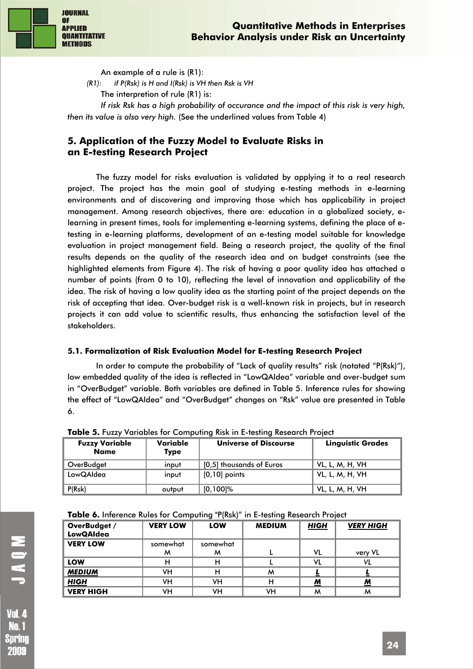

An example of a rule is (R1):

*(R1): if P(Rsk) is H and I(Rsk) is VH then Rsk is VH* 

The interpretion of rule (R1) is:

*If risk Rsk has a high probability of occurance and the impact of this risk is very high, then its value is also very high.* (See the underlined values from Table 4)

# **5. Application of the Fuzzy Model to Evaluate Risks in an E-testing Research Project**

The fuzzy model for risks evaluation is validated by applying it to a real research project. The project has the main goal of studying e-testing methods in e-learning environments and of discovering and improving those which has applicability in project management. Among research objectives, there are: education in a globalized society, elearning in present times, tools for implementing e-learning systems, defining the place of etesting in e-learning platforms, development of an e-testing model suitable for knowledge evaluation in project management field. Being a research project, the quality of the final results depends on the quality of the research idea and on budget constraints (see the highlighted elements from Figure 4). The risk of having a poor quality idea has attached a number of points (from 0 to 10), reflecting the level of innovation and applicability of the idea. The risk of having a low quality idea as the starting point of the project depends on the risk of accepting that idea. Over-budget risk is a well-known risk in projects, but in research projects it can add value to scientific results, thus enhancing the satisfaction level of the stakeholders.

## **5.1. Formalization of Risk Evaluation Model for E-testing Research Project**

In order to compute the probability of "Lack of quality results" risk (notated "P(Rsk)"), low embedded quality of the idea is reflected in "LowQAIdea" variable and over-budget sum in "OverBudget" variable. Both variables are defined in Table 5. Inference rules for showing the effect of "LowQAIdea" and "OverBudget" changes on "Rsk" value are presented in Table 6.

| <b>Fuzzy Variable</b><br>Name | Variable<br><b>Type</b> | <b>Universe of Discourse</b> | <b>Linguistic Grades</b> |
|-------------------------------|-------------------------|------------------------------|--------------------------|
| OverBudget                    | input                   | [0,5] thousands of Euros     | VL, L, M, H, VH          |
| LowQAIdea                     | input                   | $\vert$ [0,10] points        | VL, L, M, H, VH          |
| P(Rsk)                        | output                  | $[0, 100]$ %                 | VL, L, M, H, VH          |

**Table 5.** Fuzzy Variables for Computing Risk in E-testing Research Project

| Table 6. Inference Rules for Computing "P(Rsk)" in E-testing Research Project |  |
|-------------------------------------------------------------------------------|--|
|-------------------------------------------------------------------------------|--|

| OverBudget /<br><b>LowQAIdea</b> | <b>VERY LOW</b> | LOW      | <b>MEDIUM</b> | <b>HIGH</b>              | <b>VERY HIGH</b> |
|----------------------------------|-----------------|----------|---------------|--------------------------|------------------|
| <b>VERY LOW</b>                  | somewhat        | somewhat |               |                          |                  |
|                                  | м               | м        |               | VL                       | very VL          |
| LOW                              |                 | н        |               | VL                       | VL               |
| <b>MEDIUM</b>                    | VН              | н        | м             |                          |                  |
| <b>HIGH</b>                      | VH              | vн       | н             | $\underline{\mathbf{M}}$ | <u>M</u>         |
| <b>VERY HIGH</b>                 | VН              | ٧H       | ٧H            | м                        | м                |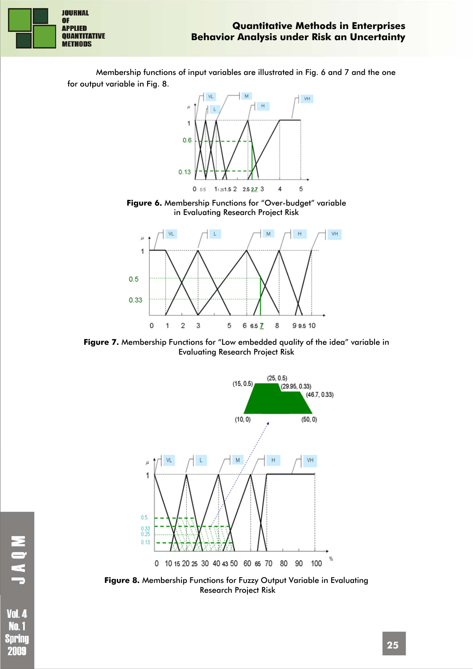**Behavior Analysis under Risk an Uncertainty** 

**JOURNAL OF APPLIED QUANTITATIVE METHODS** 

**Quantitative Methods in Enterprises** 

Membership functions of input variables are illustrated in Fig. 6 and 7 and the one for output variable in Fig. 8.



**Figure 6.** Membership Functions for "Over-budget" variable in Evaluating Research Project Risk



**Figure 7.** Membership Functions for "Low embedded quality of the idea" variable in Evaluating Research Project Risk



**Figure 8.** Membership Functions for Fuzzy Output Variable in Evaluating Research Project Risk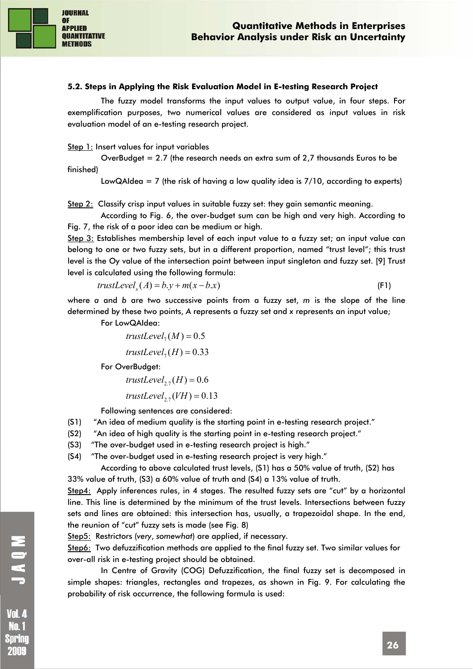

#### **5.2. Steps in Applying the Risk Evaluation Model in E-testing Research Project**

The fuzzy model transforms the input values to output value, in four steps. For exemplification purposes, two numerical values are considered as input values in risk evaluation model of an e-testing research project.

Step 1: Insert values for input variables

OverBudget = 2.7 (the research needs an extra sum of 2,7 thousands Euros to be finished)

LowQAIdea = 7 (the risk of having a low quality idea is  $7/10$ , according to experts)

Step 2: Classify crisp input values in suitable fuzzy set: they gain semantic meaning.

According to Fig. 6, the over-budget sum can be high and very high. According to Fig. 7, the risk of a poor idea can be medium or high.

Step 3: Establishes membership level of each input value to a fuzzy set; an input value can belong to one or two fuzzy sets, but in a different proportion, named "trust level"; this trust level is the Oy value of the intersection point between input singleton and fuzzy set. [9] Trust level is calculated using the following formula:

$$
trustLevelx(A) = b.y + m(x - b.x)
$$
 (F1)

where *a* and *b* are two successive points from a fuzzy set, *m* is the slope of the line determined by these two points, *A* represents a fuzzy set and *x* represents an input value;

For LowQAIdea:

 $trustLevel<sub>7</sub>(M) = 0.5$ 

$$
trustLevel_7(H) = 0.33
$$

For OverBudget:

$$
trustLevel_{2.7}(H) = 0.6
$$

 $trustLevel<sub>27</sub>(VH) = 0.13$ 

Following sentences are considered:

- (S1) "An idea of medium quality is the starting point in e-testing research project."
- (S2) "An idea of high quality is the starting point in e-testing research project."
- (S3) "The over-budget used in e-testing research project is high."
- (S4) "The over-budget used in e-testing research project is very high."

According to above calculated trust levels, (S1) has a 50% value of truth, (S2) has 33% value of truth, (S3) a 60% value of truth and (S4) a 13% value of truth.

Step4: Apply inferences rules, in 4 stages. The resulted fuzzy sets are "cut" by a horizontal line. This line is determined by the minimum of the trust levels. Intersections between fuzzy sets and lines are obtained: this intersection has, usually, a trapezoidal shape. In the end, the reunion of "cut" fuzzy sets is made (see Fig. 8)

Step5: Restrictors (*very*, *somewhat*) are applied, if necessary.

Step6: Two defuzzification methods are applied to the final fuzzy set. Two similar values for over-all risk in e-testing project should be obtained.

In Centre of Gravity (COG) Defuzzification, the final fuzzy set is decomposed in simple shapes: triangles, rectangles and trapezes, as shown in Fig. 9. For calculating the probability of risk occurrence, the following formula is used:

Spring 2009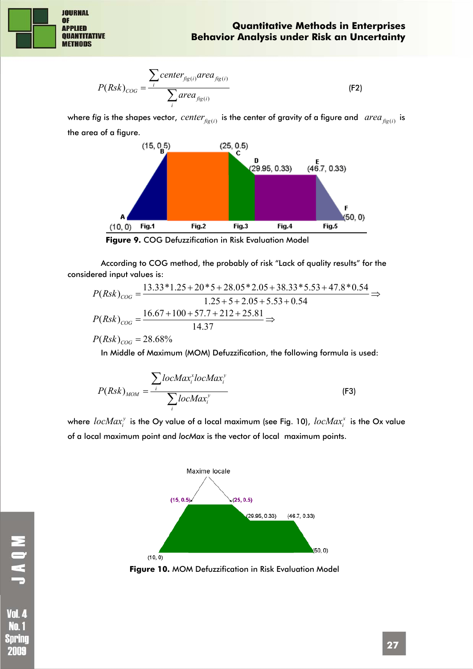

$$
P(Rsk)_{COG} = \frac{\sum_{i}center_{\hat{f}g(i)}area_{\hat{f}g(i)}}{\sum_{i}area_{\hat{f}g(i)}}
$$
 (F2)

where fig is the shapes vector, *center*  $_{fig(i)}$  is the center of gravity of a figure and *area*  $_{fig(i)}$  is the area of a figure.



**Figure 9.** COG Defuzzification in Risk Evaluation Model

According to COG method, the probably of risk "Lack of quality results" for the considered input values is:

$$
P(Rsk)_{COG} = \frac{13.33*1.25+20*5+28.05*2.05+38.33*5.53+47.8*0.54}{1.25+5+2.05+5.53+0.54} \Rightarrow P(Rsk)_{COG} = \frac{16.67+100+57.7+212+25.81}{14.37} \Rightarrow
$$

$$
P(Rsk)_{COG} = 28.68\%
$$

In Middle of Maximum (MOM) Defuzzification, the following formula is used:

$$
P(Rsk)_{MOM} = \frac{\sum i b c Max_i^* lo c Max_i^y}{\sum i b c Max_i^y}
$$
 (F3)

where  $\emph{locMax}^y_i$  is the Oy value of a local maximum (see Fig. 10),  $\emph{locMax}^x_i$  is the Ox value of a local maximum point and *locMax* is the vector of local maximum points.



**Figure 10.** MOM Defuzzification in Risk Evaluation Model

**Vol. 4** Nn. 1 Spring 2009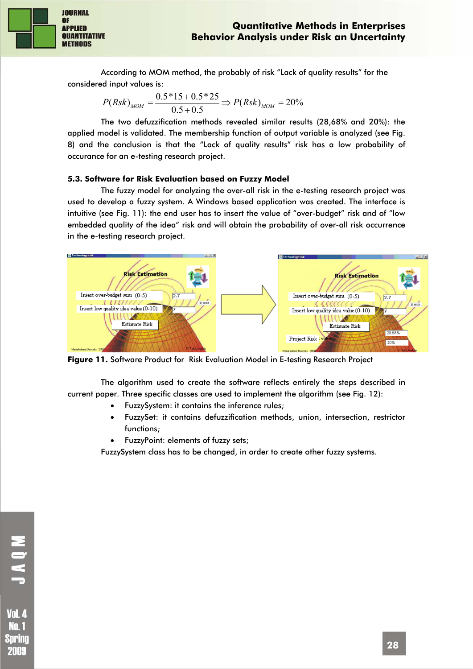

**JOURNAL OF APPLIED QUANTITATIVE METHODS** 

> According to MOM method, the probably of risk "Lack of quality results" for the considered input values is:

$$
P(Rsk)_{MOM} = \frac{0.5 * 15 + 0.5 * 25}{0.5 + 0.5} \Rightarrow P(Rsk)_{MOM} = 20\%
$$

The two defuzzification methods revealed similar results (28,68% and 20%): the applied model is validated. The membership function of output variable is analyzed (see Fig. 8) and the conclusion is that the "Lack of quality results" risk has a low probability of occurance for an e-testing research project.

## **5.3. Software for Risk Evaluation based on Fuzzy Model**

The fuzzy model for analyzing the over-all risk in the e-testing research project was used to develop a fuzzy system. A Windows based application was created. The interface is intuitive (see Fig. 11): the end user has to insert the value of "over-budget" risk and of "low embedded quality of the idea" risk and will obtain the probability of over-all risk occurrence in the e-testing research project.



**Figure 11.** Software Product for Risk Evaluation Model in E-testing Research Project

The algorithm used to create the software reflects entirely the steps described in current paper. Three specific classes are used to implement the algorithm (see Fig. 12):

- FuzzySystem: it contains the inference rules;
- FuzzySet: it contains defuzzification methods, union, intersection, restrictor functions;
- FuzzyPoint: elements of fuzzy sets;

FuzzySystem class has to be changed, in order to create other fuzzy systems.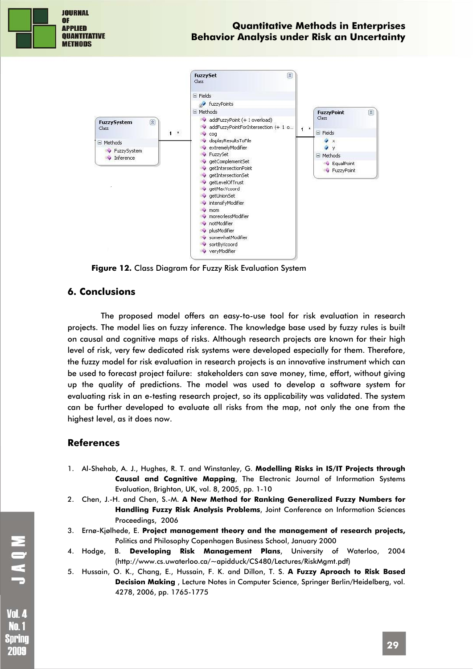

**Figure 12.** Class Diagram for Fuzzy Risk Evaluation System

### **6. Conclusions**

The proposed model offers an easy-to-use tool for risk evaluation in research projects. The model lies on fuzzy inference. The knowledge base used by fuzzy rules is built on causal and cognitive maps of risks. Although research projects are known for their high level of risk, very few dedicated risk systems were developed especially for them. Therefore, the fuzzy model for risk evaluation in research projects is an innovative instrument which can be used to forecast project failure: stakeholders can save money, time, effort, without giving up the quality of predictions. The model was used to develop a software system for evaluating risk in an e-testing research project, so its applicability was validated. The system can be further developed to evaluate all risks from the map, not only the one from the highest level, as it does now.

## **References**

- 1. Al-Shehab, A. J., Hughes, R. T. and Winstanley, G. **Modelling Risks in IS/IT Projects through Causal and Cognitive Mapping**, The Electronic Journal of Information Systems Evaluation, Brighton, UK, vol. 8, 2005, pp. 1-10
- 2. Chen, J.-H. and Chen, S.-M. **A New Method for Ranking Generalized Fuzzy Numbers for Handling Fuzzy Risk Analysis Problems**, Joint Conference on Information Sciences Proceedings, 2006
- 3. Ernø-Kjølhede, E. **Project management theory and the management of research projects,** Politics and Philosophy Copenhagen Business School, January 2000
- 4. Hodge, B. **Developing Risk Management Plans**, University of Waterloo, 2004 (http://www.cs.uwaterloo.ca/~apidduck/CS480/Lectures/RiskMgmt.pdf)
- 5. Hussain, O. K., Chang, E., Hussain, F. K. and Dillon, T. S. **A Fuzzy Aproach to Risk Based Decision Making** , Lecture Notes in Computer Science, Springer Berlin/Heidelberg, vol. 4278, 2006, pp. 1765-1775